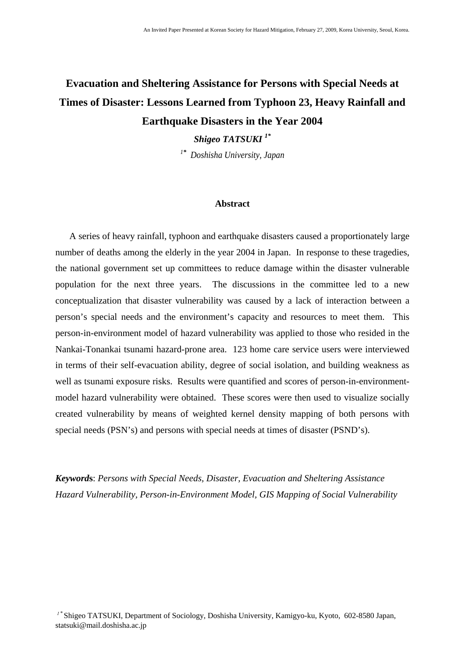# **Evacuation and Sheltering Assistance for Persons with Special Needs at Times of Disaster: Lessons Learned from Typhoon 23, Heavy Rainfall and Earthquake Disasters in the Year 2004**

*Shigeo TATSUKI 1\**

*1\* Doshisha University, Japan* 

#### **Abstract**

A series of heavy rainfall, typhoon and earthquake disasters caused a proportionately large number of deaths among the elderly in the year 2004 in Japan. In response to these tragedies, the national government set up committees to reduce damage within the disaster vulnerable population for the next three years. The discussions in the committee led to a new conceptualization that disaster vulnerability was caused by a lack of interaction between a person's special needs and the environment's capacity and resources to meet them. This person-in-environment model of hazard vulnerability was applied to those who resided in the Nankai-Tonankai tsunami hazard-prone area. 123 home care service users were interviewed in terms of their self-evacuation ability, degree of social isolation, and building weakness as well as tsunami exposure risks. Results were quantified and scores of person-in-environmentmodel hazard vulnerability were obtained. These scores were then used to visualize socially created vulnerability by means of weighted kernel density mapping of both persons with special needs (PSN's) and persons with special needs at times of disaster (PSND's).

*Keyword***s**: *Persons with Special Needs, Disaster, Evacuation and Sheltering Assistance Hazard Vulnerability, Person-in-Environment Model, GIS Mapping of Social Vulnerability*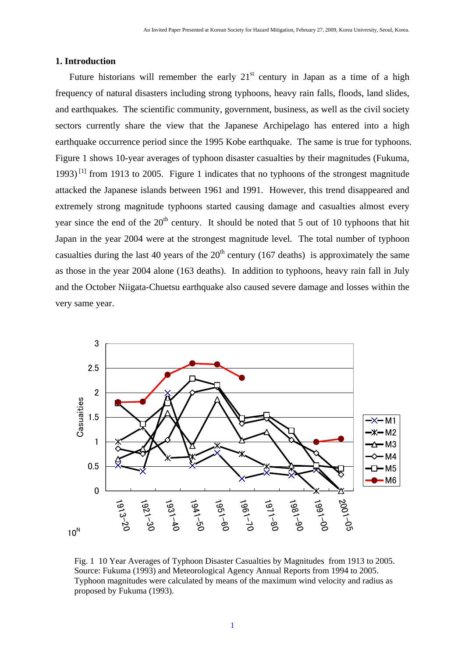## **1. Introduction**

Future historians will remember the early  $21<sup>st</sup>$  century in Japan as a time of a high frequency of natural disasters including strong typhoons, heavy rain falls, floods, land slides, and earthquakes. The scientific community, government, business, as well as the civil society sectors currently share the view that the Japanese Archipelago has entered into a high earthquake occurrence period since the 1995 Kobe earthquake. The same is true for typhoons. Figure 1 shows 10-year averages of typhoon disaster casualties by their magnitudes (Fukuma, 1993)<sup>[1]</sup> from 1913 to 2005. Figure 1 indicates that no typhoons of the strongest magnitude attacked the Japanese islands between 1961 and 1991. However, this trend disappeared and extremely strong magnitude typhoons started causing damage and casualties almost every year since the end of the  $20<sup>th</sup>$  century. It should be noted that 5 out of 10 typhoons that hit Japan in the year 2004 were at the strongest magnitude level. The total number of typhoon casualties during the last 40 years of the  $20<sup>th</sup>$  century (167 deaths) is approximately the same as those in the year 2004 alone (163 deaths). In addition to typhoons, heavy rain fall in July and the October Niigata-Chuetsu earthquake also caused severe damage and losses within the very same year.



Fig. 1 10 Year Averages of Typhoon Disaster Casualties by Magnitudes from 1913 to 2005. Source: Fukuma (1993) and Meteorological Agency Annual Reports from 1994 to 2005. Typhoon magnitudes were calculated by means of the maximum wind velocity and radius as proposed by Fukuma (1993).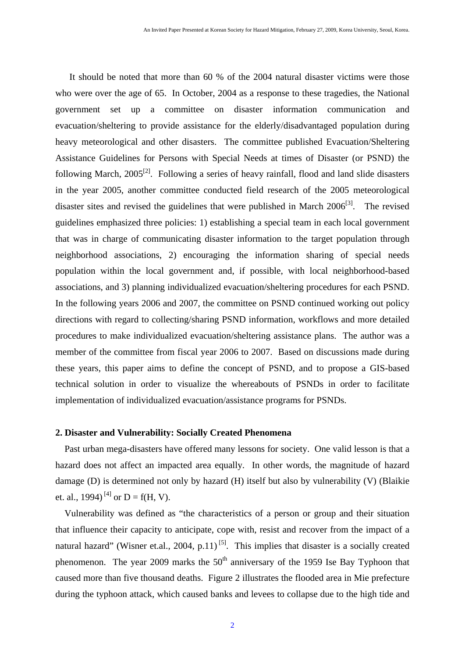It should be noted that more than 60 % of the 2004 natural disaster victims were those who were over the age of 65. In October, 2004 as a response to these tragedies, the National government set up a committee on disaster information communication and evacuation/sheltering to provide assistance for the elderly/disadvantaged population during heavy meteorological and other disasters. The committee published Evacuation/Sheltering Assistance Guidelines for Persons with Special Needs at times of Disaster (or PSND) the following March,  $2005^{2}$ . Following a series of heavy rainfall, flood and land slide disasters in the year 2005, another committee conducted field research of the 2005 meteorological disaster sites and revised the guidelines that were published in March  $2006^{[3]}$ . The revised guidelines emphasized three policies: 1) establishing a special team in each local government that was in charge of communicating disaster information to the target population through neighborhood associations, 2) encouraging the information sharing of special needs population within the local government and, if possible, with local neighborhood-based associations, and 3) planning individualized evacuation/sheltering procedures for each PSND. In the following years 2006 and 2007, the committee on PSND continued working out policy directions with regard to collecting/sharing PSND information, workflows and more detailed procedures to make individualized evacuation/sheltering assistance plans. The author was a member of the committee from fiscal year 2006 to 2007. Based on discussions made during these years, this paper aims to define the concept of PSND, and to propose a GIS-based technical solution in order to visualize the whereabouts of PSNDs in order to facilitate implementation of individualized evacuation/assistance programs for PSNDs.

## **2. Disaster and Vulnerability: Socially Created Phenomena**

Past urban mega-disasters have offered many lessons for society. One valid lesson is that a hazard does not affect an impacted area equally. In other words, the magnitude of hazard damage (D) is determined not only by hazard (H) itself but also by vulnerability (V) (Blaikie et. al., 1994)<sup>[4]</sup> or D = f(H, V).

Vulnerability was defined as "the characteristics of a person or group and their situation that influence their capacity to anticipate, cope with, resist and recover from the impact of a natural hazard" (Wisner et.al., 2004, p.11)<sup>[5]</sup>. This implies that disaster is a socially created phenomenon. The year 2009 marks the  $50<sup>th</sup>$  anniversary of the 1959 Ise Bay Typhoon that caused more than five thousand deaths. Figure 2 illustrates the flooded area in Mie prefecture during the typhoon attack, which caused banks and levees to collapse due to the high tide and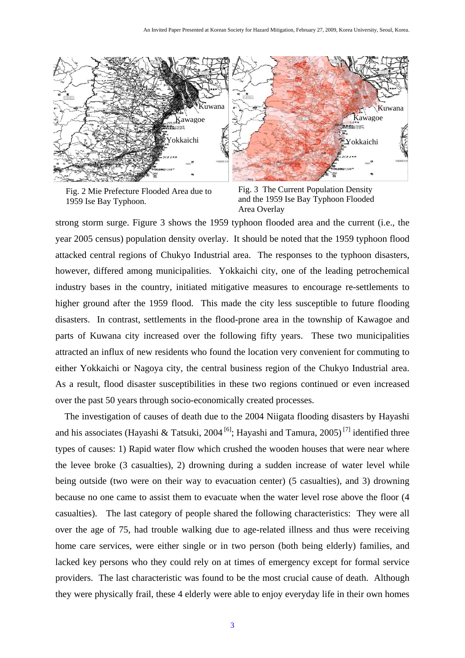

Fig. 2 Mie Prefecture Flooded Area due to 1959 Ise Bay Typhoon.

Fig. 3 The Current Population Density and the 1959 Ise Bay Typhoon Flooded Area Overlay

strong storm surge. Figure 3 shows the 1959 typhoon flooded area and the current (i.e., the year 2005 census) population density overlay. It should be noted that the 1959 typhoon flood attacked central regions of Chukyo Industrial area. The responses to the typhoon disasters, however, differed among municipalities. Yokkaichi city, one of the leading petrochemical industry bases in the country, initiated mitigative measures to encourage re-settlements to higher ground after the 1959 flood. This made the city less susceptible to future flooding disasters. In contrast, settlements in the flood-prone area in the township of Kawagoe and parts of Kuwana city increased over the following fifty years. These two municipalities attracted an influx of new residents who found the location very convenient for commuting to either Yokkaichi or Nagoya city, the central business region of the Chukyo Industrial area. As a result, flood disaster susceptibilities in these two regions continued or even increased over the past 50 years through socio-economically created processes.

The investigation of causes of death due to the 2004 Niigata flooding disasters by Hayashi and his associates (Hayashi & Tatsuki, 2004<sup>[6]</sup>; Hayashi and Tamura, 2005)<sup>[7]</sup> identified three types of causes: 1) Rapid water flow which crushed the wooden houses that were near where the levee broke (3 casualties), 2) drowning during a sudden increase of water level while being outside (two were on their way to evacuation center) (5 casualties), and 3) drowning because no one came to assist them to evacuate when the water level rose above the floor (4 casualties). The last category of people shared the following characteristics: They were all over the age of 75, had trouble walking due to age-related illness and thus were receiving home care services, were either single or in two person (both being elderly) families, and lacked key persons who they could rely on at times of emergency except for formal service providers. The last characteristic was found to be the most crucial cause of death. Although they were physically frail, these 4 elderly were able to enjoy everyday life in their own homes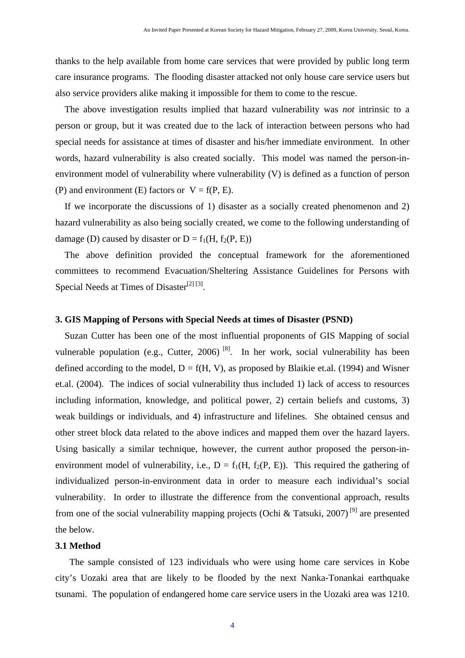thanks to the help available from home care services that were provided by public long term care insurance programs. The flooding disaster attacked not only house care service users but also service providers alike making it impossible for them to come to the rescue.

The above investigation results implied that hazard vulnerability was *not* intrinsic to a person or group, but it was created due to the lack of interaction between persons who had special needs for assistance at times of disaster and his/her immediate environment. In other words, hazard vulnerability is also created socially. This model was named the person-inenvironment model of vulnerability where vulnerability (V) is defined as a function of person (P) and environment (E) factors or  $V = f(P, E)$ .

If we incorporate the discussions of 1) disaster as a socially created phenomenon and 2) hazard vulnerability as also being socially created, we come to the following understanding of damage (D) caused by disaster or  $D = f_1(H, f_2(P, E))$ 

The above definition provided the conceptual framework for the aforementioned committees to recommend Evacuation/Sheltering Assistance Guidelines for Persons with Special Needs at Times of Disaster<sup>[2] [3]</sup>.

#### **3. GIS Mapping of Persons with Special Needs at times of Disaster (PSND)**

Suzan Cutter has been one of the most influential proponents of GIS Mapping of social vulnerable population (e.g., Cutter, 2006)<sup>[8]</sup>. In her work, social vulnerability has been defined according to the model,  $D = f(H, V)$ , as proposed by Blaikie et.al. (1994) and Wisner et.al. (2004). The indices of social vulnerability thus included 1) lack of access to resources including information, knowledge, and political power, 2) certain beliefs and customs, 3) weak buildings or individuals, and 4) infrastructure and lifelines. She obtained census and other street block data related to the above indices and mapped them over the hazard layers. Using basically a similar technique, however, the current author proposed the person-inenvironment model of vulnerability, i.e.,  $D = f_1(H, f_2(P, E))$ . This required the gathering of individualized person-in-environment data in order to measure each individual's social vulnerability. In order to illustrate the difference from the conventional approach, results from one of the social vulnerability mapping projects (Ochi & Tatsuki, 2007)<sup>[9]</sup> are presented the below.

### **3.1 Method**

The sample consisted of 123 individuals who were using home care services in Kobe city's Uozaki area that are likely to be flooded by the next Nanka-Tonankai earthquake tsunami. The population of endangered home care service users in the Uozaki area was 1210.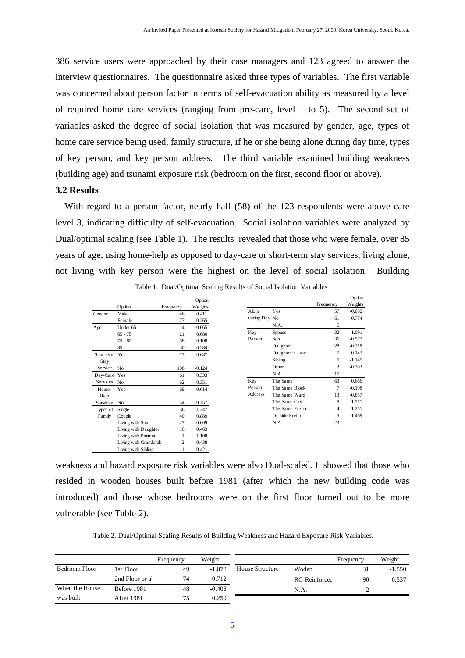386 service users were approached by their case managers and 123 agreed to answer the interview questionnaires. The questionnaire asked three types of variables. The first variable was concerned about person factor in terms of self-evacuation ability as measured by a level of required home care services (ranging from pre-care, level 1 to 5). The second set of variables asked the degree of social isolation that was measured by gender, age, types of home care service being used, family structure, if he or she being alone during day time, types of key person, and key person address. The third variable examined building weakness (building age) and tsunami exposure risk (bedroom on the first, second floor or above).

#### **3.2 Results**

With regard to a person factor, nearly half (58) of the 123 respondents were above care level 3, indicating difficulty of self-evacuation. Social isolation variables were analyzed by Dual/optimal scaling (see Table 1). The results revealed that those who were female, over 85 years of age, using home-help as opposed to day-care or short-term stay services, living alone, not living with key person were the highest on the level of social isolation. Building

|           |                       |                | Option   |
|-----------|-----------------------|----------------|----------|
|           | Option                | Frequency      | Weights  |
| Gender    | Male                  | 46             | 0.411    |
|           | Female                | 77             | $-0.265$ |
| Age       | Under 65<br>14        |                | $-0.065$ |
|           | $65 - 75$             | 21             | 0.080    |
|           | $75 - 85$             | 58             | 0.108    |
|           | $85 -$                | 30             | $-0.284$ |
| Shor-term | Yes                   | 17             | 0.687    |
| Stay      |                       |                |          |
| Service   | No                    | 106            | $-0.124$ |
| Day-Care  | Yes                   | 61             | 0.333    |
| Services  | No                    | 62             | $-0.351$ |
| Home-     | Yes                   | 69             | $-0.614$ |
| Help      |                       |                |          |
| Services  | No                    | 54             | 0.757    |
| Types of  | Single                | 36             | $-1.247$ |
| Family    | Couple                | 40             | 0.889    |
|           | Living with Son       | 27             | $-0.009$ |
|           | Living with Daughter  | 16             | 0.463    |
|           | Living with Partent   | 1              | 1.108    |
|           | Living with Grandchik | $\overline{c}$ | $-0.438$ |
|           | Living with Sibling   | 1              | 0.421    |

Table 1. Dual/Optimal Scaling Results of Social Isolation Variables

|               |                  |                | Option   |
|---------------|------------------|----------------|----------|
|               |                  | Frequency      | Weights  |
| <b>A</b> lone | Yes              | 57             | $-0.802$ |
| during Day No |                  | 61             | 0.774    |
|               | N.A.             | 5              |          |
| Key           | Spouse           | 32             | 1.091    |
| Person        | Son              | 36             | $-0.577$ |
|               | Daughter         | 28             | $-0.218$ |
|               | Daughter in Law  | 5              | 0.142    |
|               | Sibling          | 5              | $-1.145$ |
|               | Other            | $\overline{c}$ | $-0.303$ |
|               | N.A.             | 15             |          |
| Key           | The Same         | 63             | 0.666    |
| Person        | The Same Block   | 7              | $-0.198$ |
| Address       | The Same Ward    | 13             | $-0.857$ |
|               | The Same City    | 8              | $-1.511$ |
|               | The Same Prefetr | 4              | $-1.251$ |
|               | Outside Prefctr  | 5              | $-1.469$ |
|               | N.A.             | 23             |          |

weakness and hazard exposure risk variables were also Dual-scaled. It showed that those who resided in wooden houses built before 1981 (after which the new building code was introduced) and those whose bedrooms were on the first floor turned out to be more vulnerable (see Table 2).

Table 2. Dual/Optimal Scaling Results of Building Weakness and Hazard Exposure Risk Variables.

|                |                 | Frequency | Weight   |                 |               | Frequency | Weight   |
|----------------|-----------------|-----------|----------|-----------------|---------------|-----------|----------|
| Bedroom Floor  | 1st Floor       | 49        | $-1.078$ | House Structure | Woden         | 31        | $-1.550$ |
|                | 2nd Floor or al | 74        | 0.712    |                 | RC-Reinforced | 90        | 0.537    |
| When the House | Before 1981     | 48        | $-0.408$ |                 | N.A.          |           |          |
| was built      | After 1981      | 75        | 0.259    |                 |               |           |          |